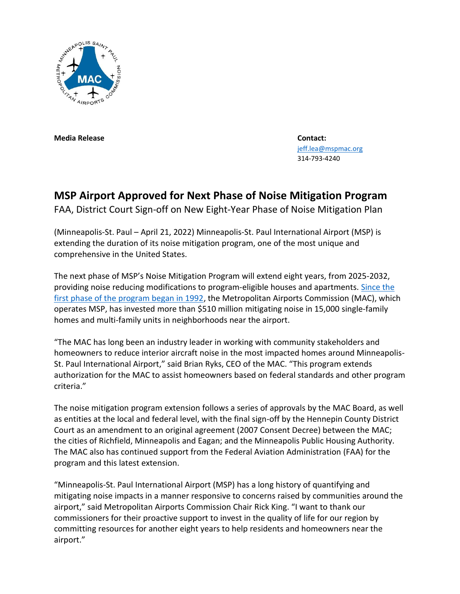

**Media Release Contact:**

 [jeff.lea@mspmac.org](mailto:jeff.lea@mspmac.org) 314-793-4240

## **MSP Airport Approved for Next Phase of Noise Mitigation Program**

FAA, District Court Sign-off on New Eight-Year Phase of Noise Mitigation Plan

(Minneapolis-St. Paul – April 21, 2022) Minneapolis-St. Paul International Airport (MSP) is extending the duration of its noise mitigation program, one of the most unique and comprehensive in the United States.

The next phase of MSP's Noise Mitigation Program will extend eight years, from 2025-2032, providing noise reducing modifications to program-eligible houses and apartments. [Since the](https://metroairports.org/sites/default/files/2022-04/MSP%20Noise%20Mitigation%20Program_Since1992.pdf)  [first phase of the program began in 1992,](https://metroairports.org/sites/default/files/2022-04/MSP%20Noise%20Mitigation%20Program_Since1992.pdf) the Metropolitan Airports Commission (MAC), which operates MSP, has invested more than \$510 million mitigating noise in 15,000 single-family homes and multi-family units in neighborhoods near the airport.

"The MAC has long been an industry leader in working with community stakeholders and homeowners to reduce interior aircraft noise in the most impacted homes around Minneapolis-St. Paul International Airport," said Brian Ryks, CEO of the MAC. "This program extends authorization for the MAC to assist homeowners based on federal standards and other program criteria."

The noise mitigation program extension follows a series of approvals by the MAC Board, as well as entities at the local and federal level, with the final sign-off by the Hennepin County District Court as an amendment to an original agreement (2007 Consent Decree) between the MAC; the cities of Richfield, Minneapolis and Eagan; and the Minneapolis Public Housing Authority. The MAC also has continued support from the Federal Aviation Administration (FAA) for the program and this latest extension.

"Minneapolis-St. Paul International Airport (MSP) has a long history of quantifying and mitigating noise impacts in a manner responsive to concerns raised by communities around the airport," said Metropolitan Airports Commission Chair Rick King. "I want to thank our commissioners for their proactive support to invest in the quality of life for our region by committing resources for another eight years to help residents and homeowners near the airport."